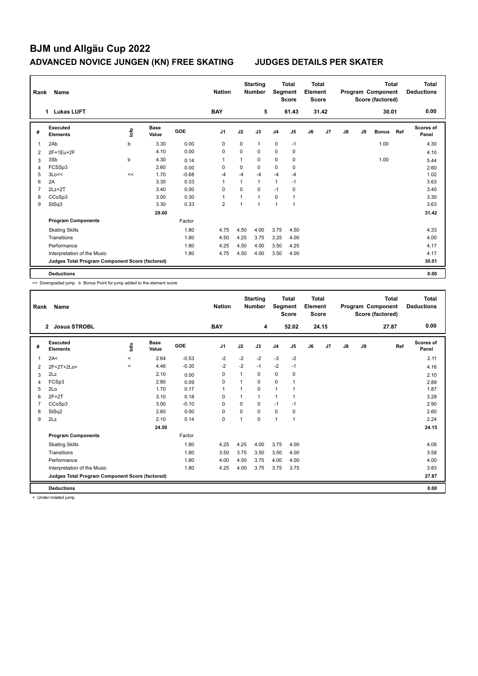# **BJM und Allgäu Cup 2022 ADVANCED NOVICE JUNGEN (KN) FREE SKATING JUDGES DETAILS PER SKATER**

| Rank           | Name                                            |      |                      |         | <b>Nation</b>  |      | <b>Starting</b><br><b>Total</b><br><b>Number</b><br>Segment<br><b>Score</b> |                |                | <b>Total</b><br>Element<br><b>Score</b> |       | <b>Total</b><br>Program Component<br>Score (factored) |    |              |     | Total<br><b>Deductions</b> |
|----------------|-------------------------------------------------|------|----------------------|---------|----------------|------|-----------------------------------------------------------------------------|----------------|----------------|-----------------------------------------|-------|-------------------------------------------------------|----|--------------|-----|----------------------------|
|                | <b>Lukas LUFT</b><br>$\mathbf 1$                |      |                      |         |                |      | 5                                                                           |                | 61.43          |                                         | 31.42 |                                                       |    | 30.01        |     | 0.00                       |
| #              | Executed<br><b>Elements</b>                     | ١nfo | <b>Base</b><br>Value | GOE     | J <sub>1</sub> | J2   | J3                                                                          | J <sub>4</sub> | J <sub>5</sub> | J6                                      | J7    | $\mathsf{J}8$                                         | J9 | <b>Bonus</b> | Ref | <b>Scores of</b><br>Panel  |
| 1              | 2Ab                                             | b    | 3.30                 | 0.00    | 0              | 0    | $\mathbf{1}$                                                                | $\mathbf 0$    | $-1$           |                                         |       |                                                       |    | 1.00         |     | 4.30                       |
| $\overline{2}$ | 2F+1Eu+2F                                       |      | 4.10                 | 0.00    | 0              | 0    | 0                                                                           | $\mathbf 0$    | $\mathbf 0$    |                                         |       |                                                       |    |              |     | 4.10                       |
| 3              | 3Sb                                             | b    | 4.30                 | 0.14    | 1              | 1    | 0                                                                           | $\mathbf 0$    | 0              |                                         |       |                                                       |    | 1.00         |     | 5.44                       |
| 4              | FCSSp3                                          |      | 2.60                 | 0.00    | $\mathbf 0$    | 0    | $\mathbf 0$                                                                 | $\pmb{0}$      | $\pmb{0}$      |                                         |       |                                                       |    |              |     | 2.60                       |
| 5              | 3Lo<<                                           | <<   | 1.70                 | $-0.68$ | $-4$           | $-4$ | $-4$                                                                        | $-4$           | -4             |                                         |       |                                                       |    |              |     | 1.02                       |
| 6              | 2A                                              |      | 3.30                 | 0.33    | 1              | 1    | $\mathbf{1}$                                                                | $\mathbf{1}$   | $-1$           |                                         |       |                                                       |    |              |     | 3.63                       |
| 7              | $2Lz + 2T$                                      |      | 3.40                 | 0.00    | 0              | 0    | $\Omega$                                                                    | $-1$           | 0              |                                         |       |                                                       |    |              |     | 3.40                       |
| 8              | CCoSp3                                          |      | 3.00                 | 0.30    | 1              | 1    | $\mathbf{1}$                                                                | 0              | 1              |                                         |       |                                                       |    |              |     | 3.30                       |
| 9              | StSq3                                           |      | 3.30                 | 0.33    | 2              | 1    | $\mathbf{1}$                                                                | $\mathbf{1}$   | $\overline{1}$ |                                         |       |                                                       |    |              |     | 3.63                       |
|                |                                                 |      | 29.00                |         |                |      |                                                                             |                |                |                                         |       |                                                       |    |              |     | 31.42                      |
|                | <b>Program Components</b>                       |      |                      | Factor  |                |      |                                                                             |                |                |                                         |       |                                                       |    |              |     |                            |
|                | <b>Skating Skills</b>                           |      |                      | 1.80    | 4.75           | 4.50 | 4.00                                                                        | 3.75           | 4.50           |                                         |       |                                                       |    |              |     | 4.33                       |
|                | Transitions                                     |      |                      | 1.80    | 4.50           | 4.25 | 3.75                                                                        | 3.25           | 4.00           |                                         |       |                                                       |    |              |     | 4.00                       |
|                | Performance                                     |      |                      | 1.80    | 4.25           | 4.50 | 4.00                                                                        | 3.50           | 4.25           |                                         |       |                                                       |    |              |     | 4.17                       |
|                | Interpretation of the Music                     |      |                      | 1.80    | 4.75           | 4.50 | 4.00                                                                        | 3.50           | 4.00           |                                         |       |                                                       |    |              |     | 4.17                       |
|                | Judges Total Program Component Score (factored) |      |                      |         |                |      |                                                                             |                |                |                                         |       |                                                       |    |              |     | 30.01                      |
|                | <b>Deductions</b>                               |      |                      |         |                |      |                                                                             |                |                |                                         |       |                                                       |    |              |     | 0.00                       |

<< Downgraded jump b Bonus Point for jump added to the element score

| Rank           | Name                                            |                     |                      |            | <b>Nation</b>  |                         | <b>Starting</b><br><b>Number</b> | Segment        | <b>Total</b><br><b>Score</b> | <b>Total</b><br>Element<br><b>Score</b> |       |    |    | <b>Total</b><br>Program Component<br>Score (factored) | <b>Total</b><br><b>Deductions</b> |
|----------------|-------------------------------------------------|---------------------|----------------------|------------|----------------|-------------------------|----------------------------------|----------------|------------------------------|-----------------------------------------|-------|----|----|-------------------------------------------------------|-----------------------------------|
|                | Josua STROBL<br>$\mathbf{2}$                    |                     |                      |            | <b>BAY</b>     |                         | 4                                |                | 52.02                        |                                         | 24.15 |    |    | 27.87                                                 | 0.00                              |
| #              | Executed<br><b>Elements</b>                     | <u>lnfo</u>         | <b>Base</b><br>Value | <b>GOE</b> | J <sub>1</sub> | J2                      | J3                               | J <sub>4</sub> | J5                           | J6                                      | J7    | J8 | J9 | Ref                                                   | <b>Scores of</b><br>Panel         |
| 1              | 2A<                                             | $\hat{\phantom{a}}$ | 2.64                 | $-0.53$    | $-2$           | $-2$                    | $-2$                             | $-3$           | $-2$                         |                                         |       |    |    |                                                       | 2.11                              |
| 2              | 2F+2T+2Lo<                                      | $\prec$             | 4.46                 | $-0.30$    | $-2$           | $-2$                    | $-1$                             | $-2$           | $-1$                         |                                         |       |    |    |                                                       | 4.16                              |
| 3              | 2Lz                                             |                     | 2.10                 | 0.00       | 0              |                         | $\Omega$                         | $\mathbf 0$    | 0                            |                                         |       |    |    |                                                       | 2.10                              |
| 4              | FCSp3                                           |                     | 2.80                 | 0.09       | 0              |                         | 0                                | 0              |                              |                                         |       |    |    |                                                       | 2.89                              |
| 5              | 2Lo                                             |                     | 1.70                 | 0.17       | $\mathbf{1}$   |                         | $\Omega$                         | $\overline{1}$ |                              |                                         |       |    |    |                                                       | 1.87                              |
| 6              | $2F+2T$                                         |                     | 3.10                 | 0.18       | 0              |                         | $\mathbf{1}$                     | $\mathbf{1}$   | -1                           |                                         |       |    |    |                                                       | 3.28                              |
| $\overline{7}$ | CCoSp3                                          |                     | 3.00                 | $-0.10$    | 0              | $\Omega$                | 0                                | $-1$           | $-1$                         |                                         |       |    |    |                                                       | 2.90                              |
| 8              | StSq2                                           |                     | 2.60                 | 0.00       | $\mathbf 0$    | $\Omega$                | $\Omega$                         | $\mathbf 0$    | 0                            |                                         |       |    |    |                                                       | 2.60                              |
| 9              | 2Lz                                             |                     | 2.10                 | 0.14       | $\Omega$       | $\overline{\mathbf{1}}$ | $\Omega$                         | $\overline{1}$ | 1                            |                                         |       |    |    |                                                       | 2.24                              |
|                |                                                 |                     | 24.50                |            |                |                         |                                  |                |                              |                                         |       |    |    |                                                       | 24.15                             |
|                | <b>Program Components</b>                       |                     |                      | Factor     |                |                         |                                  |                |                              |                                         |       |    |    |                                                       |                                   |
|                | <b>Skating Skills</b>                           |                     |                      | 1.80       | 4.25           | 4.25                    | 4.00                             | 3.75           | 4.00                         |                                         |       |    |    |                                                       | 4.08                              |
|                | Transitions                                     |                     |                      | 1.80       | 3.50           | 3.75                    | 3.50                             | 3.50           | 4.00                         |                                         |       |    |    |                                                       | 3.58                              |
|                | Performance                                     |                     |                      | 1.80       | 4.00           | 4.50                    | 3.75                             | 4.00           | 4.00                         |                                         |       |    |    |                                                       | 4.00                              |
|                | Interpretation of the Music                     |                     |                      | 1.80       | 4.25           | 4.00                    | 3.75                             | 3.75           | 3.75                         |                                         |       |    |    |                                                       | 3.83                              |
|                | Judges Total Program Component Score (factored) |                     |                      |            |                |                         |                                  |                |                              |                                         |       |    |    |                                                       | 27.87                             |
|                | <b>Deductions</b>                               |                     |                      |            |                |                         |                                  |                |                              |                                         |       |    |    |                                                       | 0.00                              |

< Under-rotated jump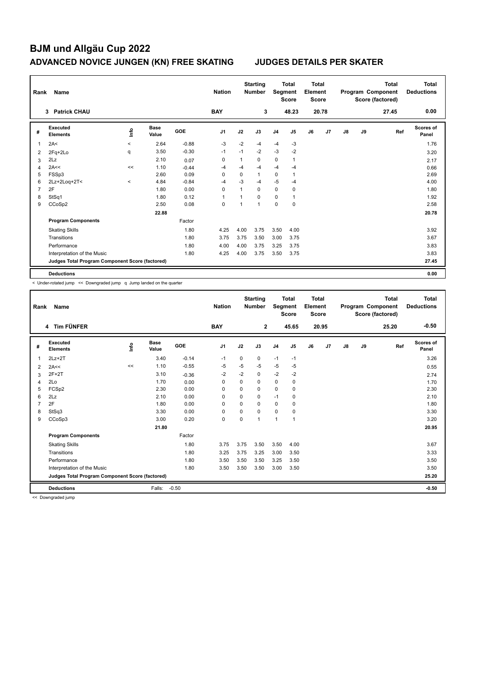# **BJM und Allgäu Cup 2022 ADVANCED NOVICE JUNGEN (KN) FREE SKATING JUDGES DETAILS PER SKATER**

| Rank | Name                                            |         |                      |            | <b>Nation</b>  |              | <b>Starting</b><br><b>Number</b> |                | <b>Total</b><br>Segment<br><b>Score</b> | <b>Total</b><br>Element<br><b>Score</b> |       |    |    | <b>Total</b><br>Program Component<br>Score (factored) | Total<br><b>Deductions</b> |
|------|-------------------------------------------------|---------|----------------------|------------|----------------|--------------|----------------------------------|----------------|-----------------------------------------|-----------------------------------------|-------|----|----|-------------------------------------------------------|----------------------------|
|      | <b>Patrick CHAU</b><br>3                        |         |                      |            | <b>BAY</b>     |              | 3                                |                | 48.23                                   |                                         | 20.78 |    |    | 27.45                                                 | 0.00                       |
| #    | Executed<br><b>Elements</b>                     | ۴ů      | <b>Base</b><br>Value | <b>GOE</b> | J <sub>1</sub> | J2           | J3                               | J <sub>4</sub> | J <sub>5</sub>                          | J6                                      | J7    | J8 | J9 | Ref                                                   | <b>Scores of</b><br>Panel  |
| 1    | 2A<                                             | $\prec$ | 2.64                 | $-0.88$    | $-3$           | $-2$         | -4                               | $-4$           | $-3$                                    |                                         |       |    |    |                                                       | 1.76                       |
| 2    | 2Fq+2Lo                                         | q       | 3.50                 | $-0.30$    | $-1$           | $-1$         | $-2$                             | $-3$           | $-2$                                    |                                         |       |    |    |                                                       | 3.20                       |
| 3    | 2Lz                                             |         | 2.10                 | 0.07       | 0              | $\mathbf{1}$ | 0                                | 0              | $\mathbf{1}$                            |                                         |       |    |    |                                                       | 2.17                       |
| 4    | 2A<<                                            | <<      | 1.10                 | $-0.44$    | $-4$           | $-4$         | -4                               | $-4$           | $-4$                                    |                                         |       |    |    |                                                       | 0.66                       |
| 5    | FSSp3                                           |         | 2.60                 | 0.09       | $\Omega$       | 0            | $\mathbf{1}$                     | 0              | $\mathbf{1}$                            |                                         |       |    |    |                                                       | 2.69                       |
| 6    | 2Lz+2Loq+2T<                                    | $\prec$ | 4.84                 | $-0.84$    | $-4$           | $-3$         | -4                               | $-5$           | $-4$                                    |                                         |       |    |    |                                                       | 4.00                       |
| 7    | 2F                                              |         | 1.80                 | 0.00       | $\Omega$       | $\mathbf{1}$ | $\Omega$                         | 0              | 0                                       |                                         |       |    |    |                                                       | 1.80                       |
| 8    | StSq1                                           |         | 1.80                 | 0.12       | 1              |              | $\Omega$                         | 0              | $\mathbf{1}$                            |                                         |       |    |    |                                                       | 1.92                       |
| 9    | CCoSp2                                          |         | 2.50                 | 0.08       | 0              | 1            | 1                                | 0              | $\mathbf 0$                             |                                         |       |    |    |                                                       | 2.58                       |
|      |                                                 |         | 22.88                |            |                |              |                                  |                |                                         |                                         |       |    |    |                                                       | 20.78                      |
|      | <b>Program Components</b>                       |         |                      | Factor     |                |              |                                  |                |                                         |                                         |       |    |    |                                                       |                            |
|      | <b>Skating Skills</b>                           |         |                      | 1.80       | 4.25           | 4.00         | 3.75                             | 3.50           | 4.00                                    |                                         |       |    |    |                                                       | 3.92                       |
|      | Transitions                                     |         |                      | 1.80       | 3.75           | 3.75         | 3.50                             | 3.00           | 3.75                                    |                                         |       |    |    |                                                       | 3.67                       |
|      | Performance                                     |         |                      | 1.80       | 4.00           | 4.00         | 3.75                             | 3.25           | 3.75                                    |                                         |       |    |    |                                                       | 3.83                       |
|      | Interpretation of the Music                     |         |                      | 1.80       | 4.25           | 4.00         | 3.75                             | 3.50           | 3.75                                    |                                         |       |    |    |                                                       | 3.83                       |
|      | Judges Total Program Component Score (factored) |         |                      |            |                |              |                                  |                |                                         |                                         |       |    |    |                                                       | 27.45                      |
|      | <b>Deductions</b>                               |         |                      |            |                |              |                                  |                |                                         |                                         |       |    |    |                                                       | 0.00                       |

< Under-rotated jump << Downgraded jump q Jump landed on the quarter

| Rank | Name                                            |             |                      |         | <b>Nation</b>  |          | <b>Starting</b><br><b>Number</b> | Segment        | <b>Total</b><br><b>Score</b> | <b>Total</b><br>Element<br><b>Score</b> |       |               |    | <b>Total</b><br>Program Component<br>Score (factored) | <b>Total</b><br><b>Deductions</b> |
|------|-------------------------------------------------|-------------|----------------------|---------|----------------|----------|----------------------------------|----------------|------------------------------|-----------------------------------------|-------|---------------|----|-------------------------------------------------------|-----------------------------------|
|      | 4 Tim FÜNFER                                    |             |                      |         | <b>BAY</b>     |          | $\overline{2}$                   |                | 45.65                        |                                         | 20.95 |               |    | 25.20                                                 | $-0.50$                           |
| #    | Executed<br><b>Elements</b>                     | <u>lnfo</u> | <b>Base</b><br>Value | GOE     | J <sub>1</sub> | J2       | J3                               | J <sub>4</sub> | J5                           | J6                                      | J7    | $\mathsf{J}8$ | J9 | Ref                                                   | <b>Scores of</b><br>Panel         |
| 1    | $2Lz+2T$                                        |             | 3.40                 | $-0.14$ | $-1$           | 0        | 0                                | $-1$           | $-1$                         |                                         |       |               |    |                                                       | 3.26                              |
| 2    | 2A<<                                            | $\,<$       | 1.10                 | $-0.55$ | -5             | -5       | $-5$                             | $-5$           | -5                           |                                         |       |               |    |                                                       | 0.55                              |
| 3    | $2F+2T$                                         |             | 3.10                 | $-0.36$ | $-2$           | $-2$     | $\Omega$                         | $-2$           | $-2$                         |                                         |       |               |    |                                                       | 2.74                              |
| 4    | 2Lo                                             |             | 1.70                 | 0.00    | 0              | $\Omega$ | $\Omega$                         | $\mathbf 0$    | 0                            |                                         |       |               |    |                                                       | 1.70                              |
| 5    | FCSp2                                           |             | 2.30                 | 0.00    | 0              | 0        | 0                                | $\mathbf 0$    | 0                            |                                         |       |               |    |                                                       | 2.30                              |
| 6    | 2Lz                                             |             | 2.10                 | 0.00    | 0              | $\Omega$ | 0                                | $-1$           | 0                            |                                         |       |               |    |                                                       | 2.10                              |
| 7    | 2F                                              |             | 1.80                 | 0.00    | $\Omega$       | $\Omega$ | $\Omega$                         | $\mathbf 0$    | $\Omega$                     |                                         |       |               |    |                                                       | 1.80                              |
| 8    | StSq3                                           |             | 3.30                 | 0.00    | $\Omega$       | $\Omega$ | $\Omega$                         | $\mathbf 0$    | $\Omega$                     |                                         |       |               |    |                                                       | 3.30                              |
| 9    | CCoSp3                                          |             | 3.00                 | 0.20    | $\mathbf 0$    | 0        | $\mathbf{1}$                     | $\overline{1}$ | $\overline{1}$               |                                         |       |               |    |                                                       | 3.20                              |
|      |                                                 |             | 21.80                |         |                |          |                                  |                |                              |                                         |       |               |    |                                                       | 20.95                             |
|      | <b>Program Components</b>                       |             |                      | Factor  |                |          |                                  |                |                              |                                         |       |               |    |                                                       |                                   |
|      | <b>Skating Skills</b>                           |             |                      | 1.80    | 3.75           | 3.75     | 3.50                             | 3.50           | 4.00                         |                                         |       |               |    |                                                       | 3.67                              |
|      | Transitions                                     |             |                      | 1.80    | 3.25           | 3.75     | 3.25                             | 3.00           | 3.50                         |                                         |       |               |    |                                                       | 3.33                              |
|      | Performance                                     |             |                      | 1.80    | 3.50           | 3.50     | 3.50                             | 3.25           | 3.50                         |                                         |       |               |    |                                                       | 3.50                              |
|      | Interpretation of the Music                     |             |                      | 1.80    | 3.50           | 3.50     | 3.50                             | 3.00           | 3.50                         |                                         |       |               |    |                                                       | 3.50                              |
|      | Judges Total Program Component Score (factored) |             |                      |         |                |          |                                  |                |                              |                                         |       |               |    |                                                       | 25.20                             |
|      | <b>Deductions</b>                               |             | Falls:               | $-0.50$ |                |          |                                  |                |                              |                                         |       |               |    |                                                       | $-0.50$                           |

<< Downgraded jump